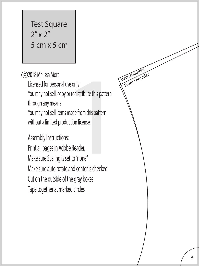## Test Square 2" x 2" 5 cm x 5 cm

2018 Melissa Mora C

use only<br>
or redistribute this pattern<br>
1 made from this pattern<br>
luction license<br>
S:<br>
S:<br>
be Reader.<br>
set to "none"<br>
e and center is checked<br>
i the gray hoyes Licensed for personal use only You may not sell, copy or redistribute this pattern through any means You may not sell items made from this pattern without a limited production license

Assembly Instructions: Print all pages in Adobe Reader. Make sure Scaling is set to "none" Make sure auto rotate and center is checked Cut on the outside of the gray boxes Tape together at marked circles

Back shoulde Front shoulder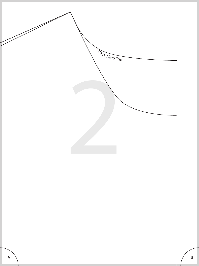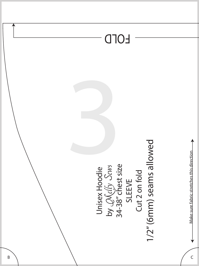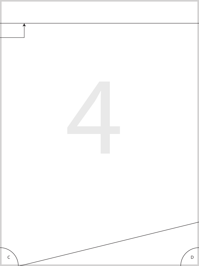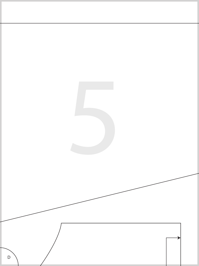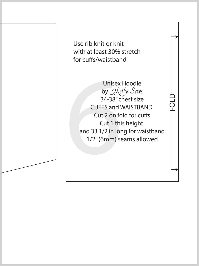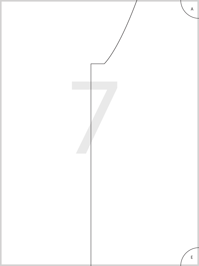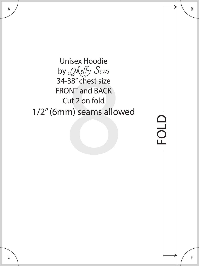*CMelly Jews*<br>-38" chest size<br>DNT and BACK<br>Cut 2 on fold<br>m) seams allow Unisex Hoodie by Melly Sews 34-38" chest size FRONT and BACK Cut 2 on fold 1/2" (6mm) seams allowed

E

A  $\sqrt{ }$  B

FOLD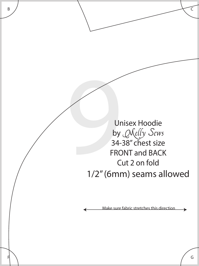$rac{Ur}{34}$ <br>By<br> $rac{34}{5}$ <br>FRC<br>C<br> $1/2$ " (6mr Unisex Hoodie by Melly Sews 34-38" chest size FRONT and BACK Cut 2 on fold 1/2" (6mm) seams allowed

 $\overline{B}$  /  $\overline{C}$ 

Make sure fabric stretches this direction

F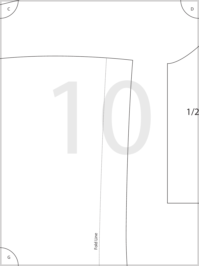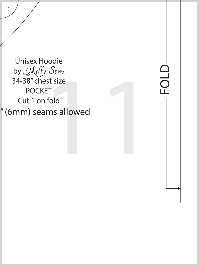by *LNelly Jews*<br>34-38" chest size<br>POCKET<br>Cut 1 on fold<br>" (6mm) seams allowed Unisex Hoodie by Melly Sews 34-38" chest size **POCKET** Cut 1 on fold " (6mm) seams allowed

FOLD

D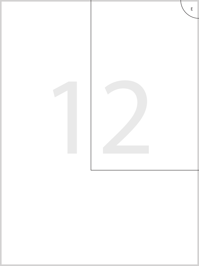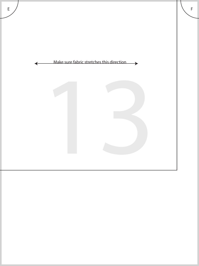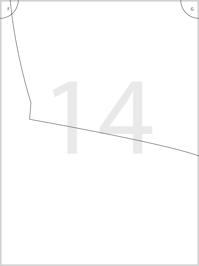